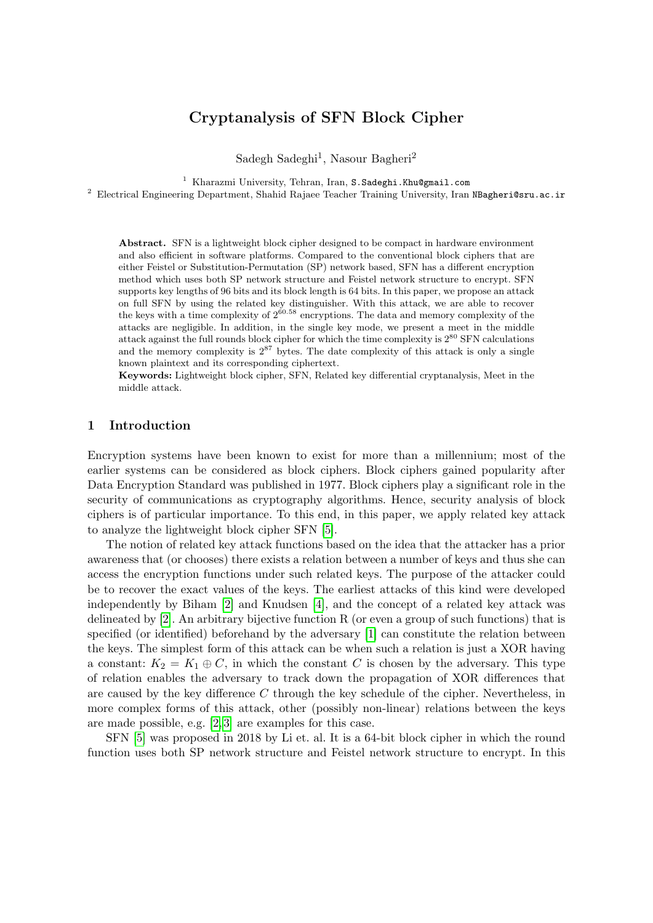# Cryptanalysis of SFN Block Cipher

Sadegh Sadeghi<sup>1</sup>, Nasour Bagheri<sup>2</sup>

<sup>1</sup> Kharazmi University, Tehran, Iran, S. Sadeghi. Khu@gmail.com

<sup>2</sup> Electrical Engineering Department, Shahid Rajaee Teacher Training University, Iran NBagheri@sru.ac.ir

Abstract. SFN is a lightweight block cipher designed to be compact in hardware environment and also efficient in software platforms. Compared to the conventional block ciphers that are either Feistel or Substitution-Permutation (SP) network based, SFN has a different encryption method which uses both SP network structure and Feistel network structure to encrypt. SFN supports key lengths of 96 bits and its block length is 64 bits. In this paper, we propose an attack on full SFN by using the related key distinguisher. With this attack, we are able to recover the keys with a time complexity of  $2^{60.58}$  encryptions. The data and memory complexity of the attacks are negligible. In addition, in the single key mode, we present a meet in the middle attack against the full rounds block cipher for which the time complexity is  $2^{80}$  SFN calculations and the memory complexity is  $2^{87}$  bytes. The date complexity of this attack is only a single known plaintext and its corresponding ciphertext.

Keywords: Lightweight block cipher, SFN, Related key differential cryptanalysis, Meet in the middle attack.

### 1 Introduction

Encryption systems have been known to exist for more than a millennium; most of the earlier systems can be considered as block ciphers. Block ciphers gained popularity after Data Encryption Standard was published in 1977. Block ciphers play a significant role in the security of communications as cryptography algorithms. Hence, security analysis of block ciphers is of particular importance. To this end, in this paper, we apply related key attack to analyze the lightweight block cipher SFN [\[5\]](#page-6-0).

The notion of related key attack functions based on the idea that the attacker has a prior awareness that (or chooses) there exists a relation between a number of keys and thus she can access the encryption functions under such related keys. The purpose of the attacker could be to recover the exact values of the keys. The earliest attacks of this kind were developed independently by Biham [\[2\]](#page-5-0) and Knudsen [\[4\]](#page-5-1), and the concept of a related key attack was delineated by [\[2\]](#page-5-0). An arbitrary bijective function R (or even a group of such functions) that is specified (or identified) beforehand by the adversary [\[1\]](#page-5-2) can constitute the relation between the keys. The simplest form of this attack can be when such a relation is just a XOR having a constant:  $K_2 = K_1 \oplus C$ , in which the constant C is chosen by the adversary. This type of relation enables the adversary to track down the propagation of XOR differences that are caused by the key difference  $C$  through the key schedule of the cipher. Nevertheless, in more complex forms of this attack, other (possibly non-linear) relations between the keys are made possible, e.g. [\[2,](#page-5-0) [3\]](#page-5-3) are examples for this case.

SFN [\[5\]](#page-6-0) was proposed in 2018 by Li et. al. It is a 64-bit block cipher in which the round function uses both SP network structure and Feistel network structure to encrypt. In this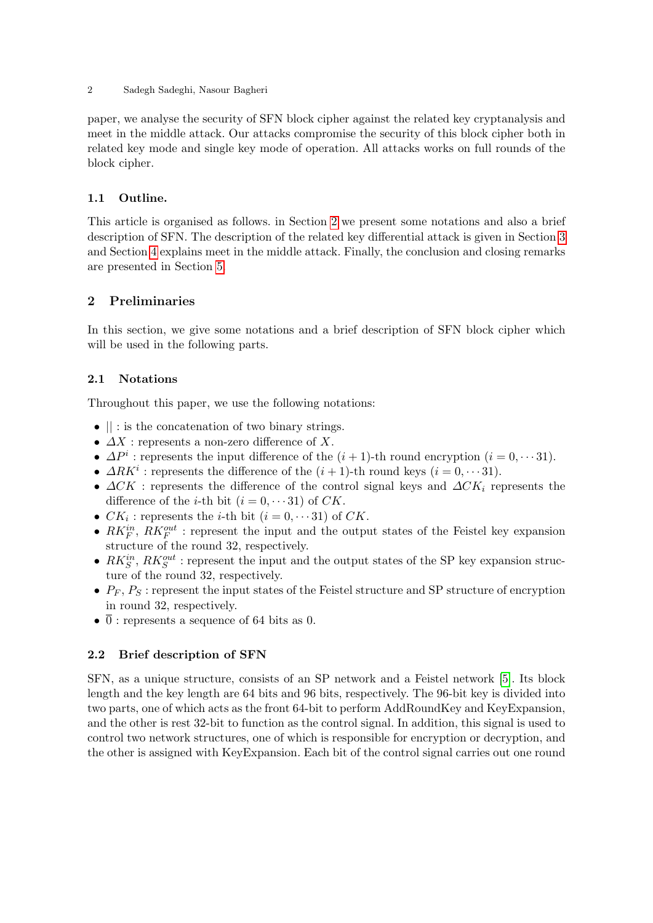2 Sadegh Sadeghi, Nasour Bagheri

paper, we analyse the security of SFN block cipher against the related key cryptanalysis and meet in the middle attack. Our attacks compromise the security of this block cipher both in related key mode and single key mode of operation. All attacks works on full rounds of the block cipher.

## 1.1 Outline.

This article is organised as follows. in Section [2](#page-1-0) we present some notations and also a brief description of SFN. The description of the related key differential attack is given in Section [3](#page-2-0) and Section [4](#page-3-0) explains meet in the middle attack. Finally, the conclusion and closing remarks are presented in Section [5.](#page-5-4)

### <span id="page-1-0"></span>2 Preliminaries

In this section, we give some notations and a brief description of SFN block cipher which will be used in the following parts.

### 2.1 Notations

Throughout this paper, we use the following notations:

- $\bullet$   $\parallel$  : is the concatenation of two binary strings.
- $\Delta X$ : represents a non-zero difference of X.
- $\Delta P^i$ : represents the input difference of the  $(i + 1)$ -th round encryption  $(i = 0, \dots 31)$ .
- $\Delta R K^i$ : represents the difference of the  $(i + 1)$ -th round keys  $(i = 0, \dots, 31)$ .
- $\Delta CK$ : represents the difference of the control signal keys and  $\Delta CK_i$  represents the difference of the *i*-th bit  $(i = 0, \dots 31)$  of CK.
- $CK_i$ : represents the *i*-th bit  $(i = 0, \dots 31)$  of CK.
- $RK_F^{in}$ ,  $RK_F^{out}$ : represent the input and the output states of the Feistel key expansion structure of the round 32, respectively.
- $RK_S^{in}$ ,  $RK_S^{out}$ : represent the input and the output states of the SP key expansion structure of the round 32, respectively.
- $P_F$ ,  $P_S$ : represent the input states of the Feistel structure and SP structure of encryption in round 32, respectively.
- $\overline{0}$ : represents a sequence of 64 bits as 0.

## 2.2 Brief description of SFN

SFN, as a unique structure, consists of an SP network and a Feistel network [\[5\]](#page-6-0). Its block length and the key length are 64 bits and 96 bits, respectively. The 96-bit key is divided into two parts, one of which acts as the front 64-bit to perform AddRoundKey and KeyExpansion, and the other is rest 32-bit to function as the control signal. In addition, this signal is used to control two network structures, one of which is responsible for encryption or decryption, and the other is assigned with KeyExpansion. Each bit of the control signal carries out one round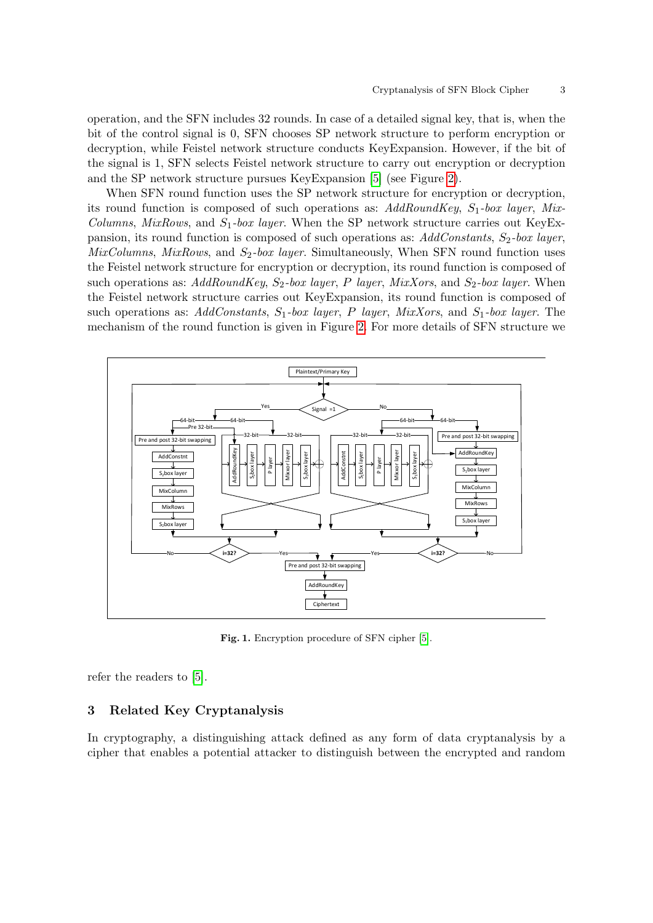operation, and the SFN includes 32 rounds. In case of a detailed signal key, that is, when the bit of the control signal is 0, SFN chooses SP network structure to perform encryption or decryption, while Feistel network structure conducts KeyExpansion. However, if the bit of the signal is 1, SFN selects Feistel network structure to carry out encryption or decryption and the SP network structure pursues KeyExpansion [\[5\]](#page-6-0) (see Figure [2\)](#page-5-5).

When SFN round function uses the SP network structure for encryption or decryption, its round function is composed of such operations as:  $AddRoundKey$ ,  $S_1$ -box layer, Mix-Columns, MixRows, and  $S_1$ -box layer. When the SP network structure carries out KeyExpansion, its round function is composed of such operations as:  $AddConstants$ ,  $S_2$ -box layer,  $MixColumns, MixRows,$  and  $S_2-box layer.$  Simultaneously, When SFN round function uses the Feistel network structure for encryption or decryption, its round function is composed of such operations as: AddRoundKey,  $S_2$ -box layer, P layer, MixXors, and  $S_2$ -box layer. When the Feistel network structure carries out KeyExpansion, its round function is composed of such operations as: AddConstants,  $S_1$ -box layer, P layer, MixXors, and  $S_1$ -box layer. The mechanism of the round function is given in Figure [2.](#page-5-5) For more details of SFN structure we



Fig. 1. Encryption procedure of SFN cipher [\[5\]](#page-6-0).

refer the readers to [\[5\]](#page-6-0).

#### <span id="page-2-0"></span>3 Related Key Cryptanalysis

In cryptography, a distinguishing attack defined as any form of data cryptanalysis by a cipher that enables a potential attacker to distinguish between the encrypted and random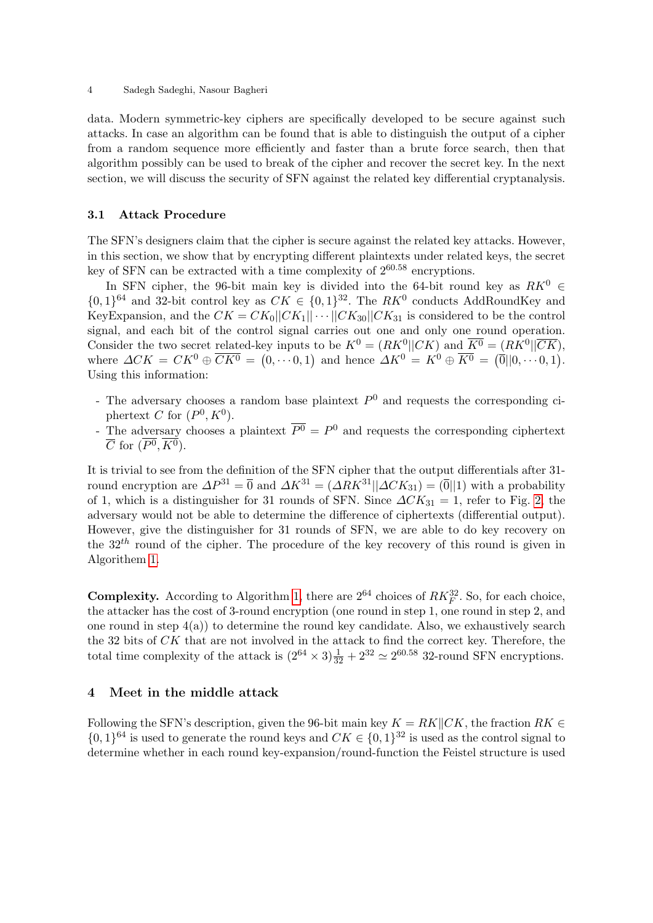data. Modern symmetric-key ciphers are specifically developed to be secure against such attacks. In case an algorithm can be found that is able to distinguish the output of a cipher from a random sequence more efficiently and faster than a brute force search, then that algorithm possibly can be used to break of the cipher and recover the secret key. In the next section, we will discuss the security of SFN against the related key differential cryptanalysis.

#### 3.1 Attack Procedure

The SFN's designers claim that the cipher is secure against the related key attacks. However, in this section, we show that by encrypting different plaintexts under related keys, the secret key of SFN can be extracted with a time complexity of  $2^{60.58}$  encryptions.

In SFN cipher, the 96-bit main key is divided into the 64-bit round key as  $RK^0 \in$  $\{0,1\}^{64}$  and 32-bit control key as  $CK \in \{0,1\}^{32}$ . The RK<sup>0</sup> conducts AddRoundKey and KeyExpansion, and the  $CK = CK_0 ||CK_1|| \cdots ||CK_{30}||CK_{31}$  is considered to be the control signal, and each bit of the control signal carries out one and only one round operation. Consider the two secret related-key inputs to be  $K^0 = (RK^0||CK)$  and  $\overline{K^0} = (RK^0||\overline{CK}),$ where  $\Delta CK = CK^0 \oplus \overline{CK^0} = (0, \dots 0, 1)$  and hence  $\Delta K^0 = K^0 \oplus \overline{K^0} = (\overline{0} \parallel 0, \dots 0, 1)$ . Using this information:

- The adversary chooses a random base plaintext  $P^0$  and requests the corresponding ciphertext C for  $(P^0, K^0)$ .
- The adversary chooses a plaintext  $\overline{P^0} = P^0$  and requests the corresponding ciphertext  $\overline{C}$  for  $(P^0, K^0)$ .

It is trivial to see from the definition of the SFN cipher that the output differentials after 31 round encryption are  $\Delta P^{31} = \overline{0}$  and  $\Delta K^{31} = (\Delta R K^{31} || \Delta C K_{31}) = (\overline{0} || 1)$  with a probability of 1, which is a distinguisher for 31 rounds of SFN. Since  $\Delta C K_{31} = 1$ , refer to Fig. [2,](#page-5-5) the adversary would not be able to determine the difference of ciphertexts (differential output). However, give the distinguisher for 31 rounds of SFN, we are able to do key recovery on the  $32<sup>th</sup>$  round of the cipher. The procedure of the key recovery of this round is given in Algorithem [1.](#page-4-0)

**Complexity.** According to Algorithm [1,](#page-4-0) there are  $2^{64}$  choices of  $RK_F^{32}$ . So, for each choice, the attacker has the cost of 3-round encryption (one round in step 1, one round in step 2, and one round in step  $4(a)$ ) to determine the round key candidate. Also, we exhaustively search the 32 bits of CK that are not involved in the attack to find the correct key. Therefore, the total time complexity of the attack is  $(2^{64} \times 3) \frac{1}{32} + 2^{32} \simeq 2^{60.58}$  32-round SFN encryptions.

### <span id="page-3-0"></span>4 Meet in the middle attack

Following the SFN's description, given the 96-bit main key  $K = RK||CK$ , the fraction  $RK \in$  $\{0,1\}^{64}$  is used to generate the round keys and  $CK \in \{0,1\}^{32}$  is used as the control signal to determine whether in each round key-expansion/round-function the Feistel structure is used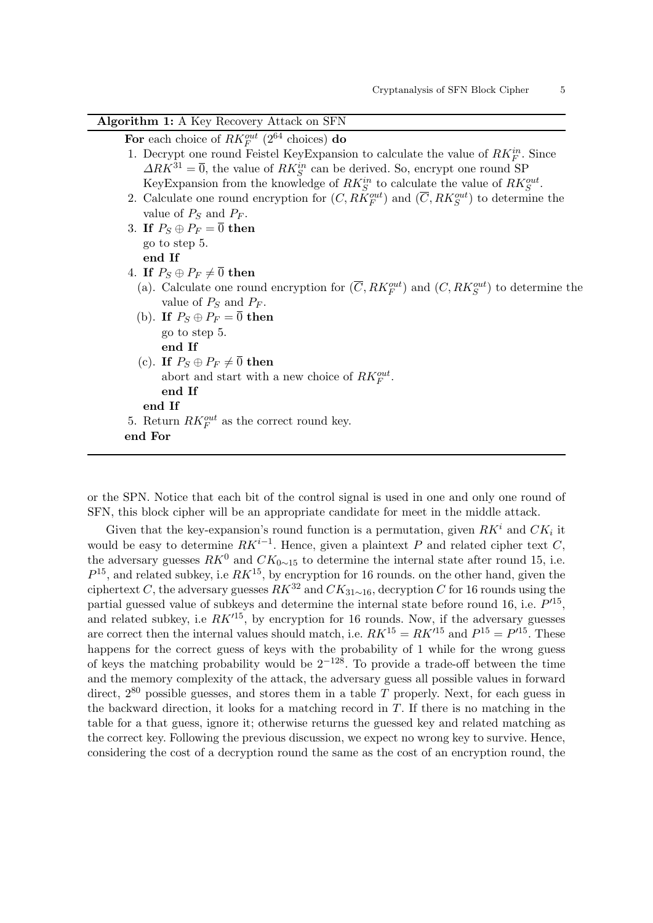| Algorithm 1: A Key Recovery Attack on SFN                                                                     |
|---------------------------------------------------------------------------------------------------------------|
| For each choice of $RK_F^{out}$ (2 <sup>64</sup> choices) do                                                  |
| 1. Decrypt one round Feistel Key Expansion to calculate the value of $RK_F^n$ . Since                         |
| $\Delta R K^{31} = \overline{0}$ , the value of $R K_S^{in}$ can be derived. So, encrypt one round SP         |
| KeyExpansion from the knowledge of $RK^{in}_S$ to calculate the value of $RK^{out}_S$ .                       |
| 2. Calculate one round encryption for $(C, RK_F^{out})$ and $(\overline{C}, RK_S^{out})$ to determine the     |
| value of $P_S$ and $P_F$ .                                                                                    |
| 3. If $P_S \oplus P_F = \overline{0}$ then                                                                    |
| go to step 5.                                                                                                 |
| end If                                                                                                        |
| 4. If $P_S \oplus P_F \neq \overline{0}$ then                                                                 |
| (a). Calculate one round encryption for $(\overline{C}, R K_F^{out})$ and $(C, R K_S^{out})$ to determine the |
| value of $P_S$ and $P_F$ .                                                                                    |
| (b). If $P_S \oplus P_F = \overline{0}$ then                                                                  |
| go to step 5.                                                                                                 |
| end If                                                                                                        |
| (c). If $P_S \oplus P_F \neq \overline{0}$ then                                                               |
| abort and start with a new choice of $RK_F^{out}$ .                                                           |
| end If                                                                                                        |
| end If                                                                                                        |
| 5. Return $RK_F^{out}$ as the correct round key.                                                              |
| end For                                                                                                       |
|                                                                                                               |

<span id="page-4-0"></span>or the SPN. Notice that each bit of the control signal is used in one and only one round of SFN, this block cipher will be an appropriate candidate for meet in the middle attack.

Given that the key-expansion's round function is a permutation, given  $RK<sup>i</sup>$  and  $CK<sub>i</sub>$  it would be easy to determine  $RK^{i-1}$ . Hence, given a plaintext P and related cipher text C, the adversary guesses  $RK^0$  and  $CK_{0 \sim 15}$  to determine the internal state after round 15, i.e.  $P^{15}$ , and related subkey, i.e  $RK^{15}$ , by encryption for 16 rounds. on the other hand, given the ciphertext C, the adversary guesses  $RK^{32}$  and  $CK_{31\sim 16}$ , decryption C for 16 rounds using the partial guessed value of subkeys and determine the internal state before round 16, i.e.  $P'^{15}$ , and related subkey, i.e  $RK'^{15}$ , by encryption for 16 rounds. Now, if the adversary guesses are correct then the internal values should match, i.e.  $RK^{15} = RK'^{15}$  and  $P^{15} = P'^{15}$ . These happens for the correct guess of keys with the probability of 1 while for the wrong guess of keys the matching probability would be  $2^{-128}$ . To provide a trade-off between the time and the memory complexity of the attack, the adversary guess all possible values in forward direct,  $2^{80}$  possible guesses, and stores them in a table T properly. Next, for each guess in the backward direction, it looks for a matching record in  $T$ . If there is no matching in the table for a that guess, ignore it; otherwise returns the guessed key and related matching as the correct key. Following the previous discussion, we expect no wrong key to survive. Hence, considering the cost of a decryption round the same as the cost of an encryption round, the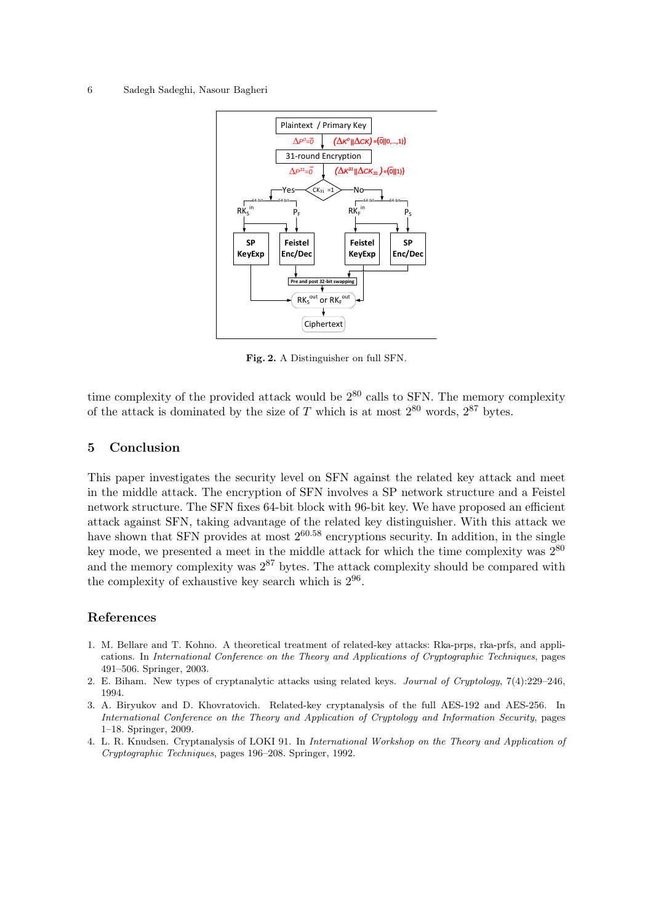#### 6 Sadegh Sadeghi, Nasour Bagheri



<span id="page-5-5"></span>Fig. 2. A Distinguisher on full SFN.

time complexity of the provided attack would be  $2^{80}$  calls to SFN. The memory complexity of the attack is dominated by the size of T which is at most  $2^{80}$  words,  $2^{87}$  bytes.

#### <span id="page-5-4"></span>5 Conclusion

This paper investigates the security level on SFN against the related key attack and meet in the middle attack. The encryption of SFN involves a SP network structure and a Feistel network structure. The SFN fixes 64-bit block with 96-bit key. We have proposed an efficient attack against SFN, taking advantage of the related key distinguisher. With this attack we have shown that SFN provides at most  $2^{60.58}$  encryptions security. In addition, in the single key mode, we presented a meet in the middle attack for which the time complexity was  $2^{80}$ and the memory complexity was  $2^{87}$  bytes. The attack complexity should be compared with the complexity of exhaustive key search which is  $2^{96}$ .

### References

- <span id="page-5-2"></span>1. M. Bellare and T. Kohno. A theoretical treatment of related-key attacks: Rka-prps, rka-prfs, and applications. In International Conference on the Theory and Applications of Cryptographic Techniques, pages 491–506. Springer, 2003.
- <span id="page-5-0"></span>2. E. Biham. New types of cryptanalytic attacks using related keys. Journal of Cryptology, 7(4):229–246, 1994.
- <span id="page-5-3"></span>3. A. Biryukov and D. Khovratovich. Related-key cryptanalysis of the full AES-192 and AES-256. In International Conference on the Theory and Application of Cryptology and Information Security, pages 1–18. Springer, 2009.
- <span id="page-5-1"></span>4. L. R. Knudsen. Cryptanalysis of LOKI 91. In International Workshop on the Theory and Application of Cryptographic Techniques, pages 196–208. Springer, 1992.